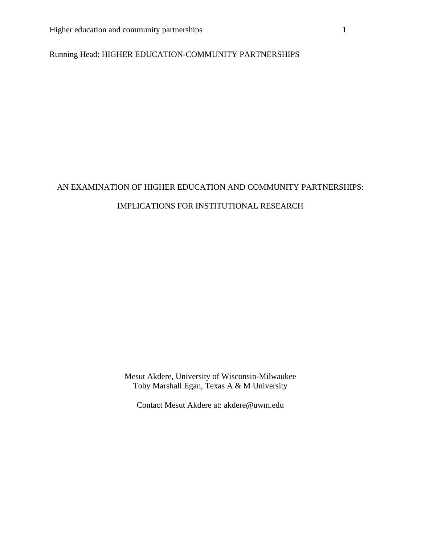# Running Head: HIGHER EDUCATION-COMMUNITY PARTNERSHIPS

# AN EXAMINATION OF HIGHER EDUCATION AND COMMUNITY PARTNERSHIPS: IMPLICATIONS FOR INSTITUTIONAL RESEARCH

Mesut Akdere, University of Wisconsin-Milwaukee Toby Marshall Egan, Texas A & M University

Contact Mesut Akdere at: akdere@uwm.edu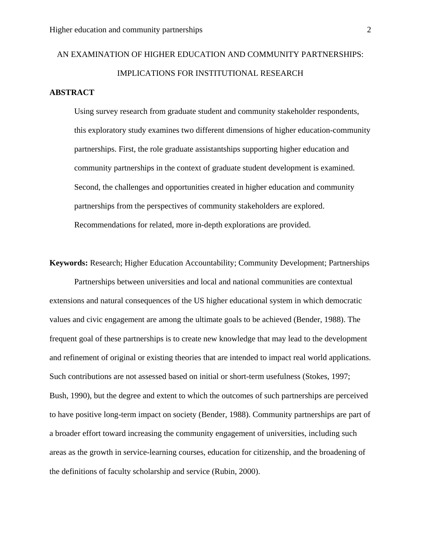# AN EXAMINATION OF HIGHER EDUCATION AND COMMUNITY PARTNERSHIPS: IMPLICATIONS FOR INSTITUTIONAL RESEARCH

## **ABSTRACT**

Using survey research from graduate student and community stakeholder respondents, this exploratory study examines two different dimensions of higher education-community partnerships. First, the role graduate assistantships supporting higher education and community partnerships in the context of graduate student development is examined. Second, the challenges and opportunities created in higher education and community partnerships from the perspectives of community stakeholders are explored. Recommendations for related, more in-depth explorations are provided.

**Keywords:** Research; Higher Education Accountability; Community Development; Partnerships

Partnerships between universities and local and national communities are contextual extensions and natural consequences of the US higher educational system in which democratic values and civic engagement are among the ultimate goals to be achieved (Bender, 1988). The frequent goal of these partnerships is to create new knowledge that may lead to the development and refinement of original or existing theories that are intended to impact real world applications. Such contributions are not assessed based on initial or short-term usefulness (Stokes, 1997; Bush, 1990), but the degree and extent to which the outcomes of such partnerships are perceived to have positive long-term impact on society (Bender, 1988). Community partnerships are part of a broader effort toward increasing the community engagement of universities, including such areas as the growth in service-learning courses, education for citizenship, and the broadening of the definitions of faculty scholarship and service (Rubin, 2000).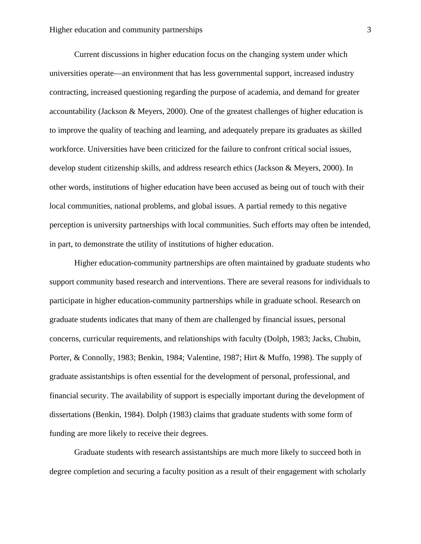Current discussions in higher education focus on the changing system under which universities operate—an environment that has less governmental support, increased industry contracting, increased questioning regarding the purpose of academia, and demand for greater accountability (Jackson & Meyers, 2000). One of the greatest challenges of higher education is to improve the quality of teaching and learning, and adequately prepare its graduates as skilled workforce. Universities have been criticized for the failure to confront critical social issues, develop student citizenship skills, and address research ethics (Jackson & Meyers, 2000). In other words, institutions of higher education have been accused as being out of touch with their local communities, national problems, and global issues. A partial remedy to this negative perception is university partnerships with local communities. Such efforts may often be intended, in part, to demonstrate the utility of institutions of higher education.

 Higher education-community partnerships are often maintained by graduate students who support community based research and interventions. There are several reasons for individuals to participate in higher education-community partnerships while in graduate school. Research on graduate students indicates that many of them are challenged by financial issues, personal concerns, curricular requirements, and relationships with faculty (Dolph, 1983; Jacks, Chubin, Porter, & Connolly, 1983; Benkin, 1984; Valentine, 1987; Hirt & Muffo, 1998). The supply of graduate assistantships is often essential for the development of personal, professional, and financial security. The availability of support is especially important during the development of dissertations (Benkin, 1984). Dolph (1983) claims that graduate students with some form of funding are more likely to receive their degrees.

Graduate students with research assistantships are much more likely to succeed both in degree completion and securing a faculty position as a result of their engagement with scholarly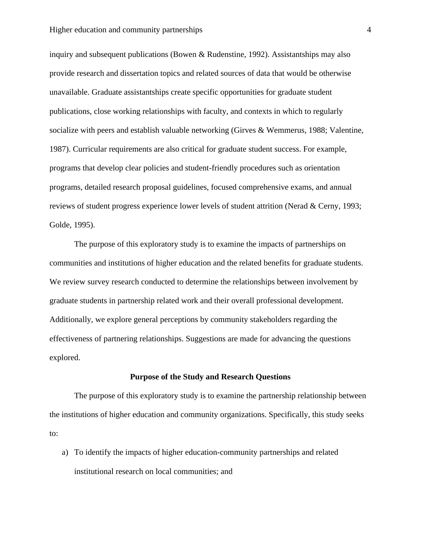inquiry and subsequent publications (Bowen & Rudenstine, 1992). Assistantships may also provide research and dissertation topics and related sources of data that would be otherwise unavailable. Graduate assistantships create specific opportunities for graduate student publications, close working relationships with faculty, and contexts in which to regularly socialize with peers and establish valuable networking (Girves & Wemmerus, 1988; Valentine, 1987). Curricular requirements are also critical for graduate student success. For example, programs that develop clear policies and student-friendly procedures such as orientation programs, detailed research proposal guidelines, focused comprehensive exams, and annual reviews of student progress experience lower levels of student attrition (Nerad & Cerny, 1993; Golde, 1995).

The purpose of this exploratory study is to examine the impacts of partnerships on communities and institutions of higher education and the related benefits for graduate students. We review survey research conducted to determine the relationships between involvement by graduate students in partnership related work and their overall professional development. Additionally, we explore general perceptions by community stakeholders regarding the effectiveness of partnering relationships. Suggestions are made for advancing the questions explored.

#### **Purpose of the Study and Research Questions**

 The purpose of this exploratory study is to examine the partnership relationship between the institutions of higher education and community organizations. Specifically, this study seeks to:

a) To identify the impacts of higher education-community partnerships and related institutional research on local communities; and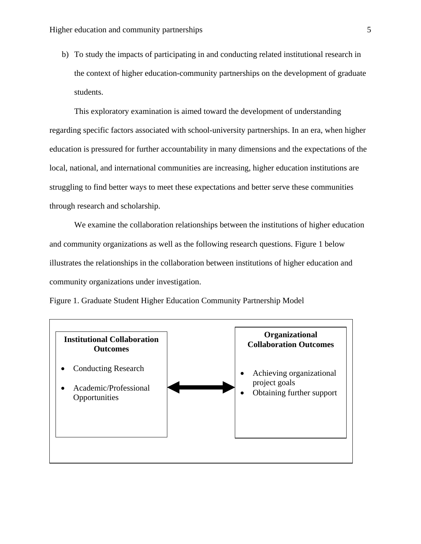b) To study the impacts of participating in and conducting related institutional research in the context of higher education-community partnerships on the development of graduate students.

This exploratory examination is aimed toward the development of understanding regarding specific factors associated with school-university partnerships. In an era, when higher education is pressured for further accountability in many dimensions and the expectations of the local, national, and international communities are increasing, higher education institutions are struggling to find better ways to meet these expectations and better serve these communities through research and scholarship.

We examine the collaboration relationships between the institutions of higher education and community organizations as well as the following research questions. Figure 1 below illustrates the relationships in the collaboration between institutions of higher education and community organizations under investigation.



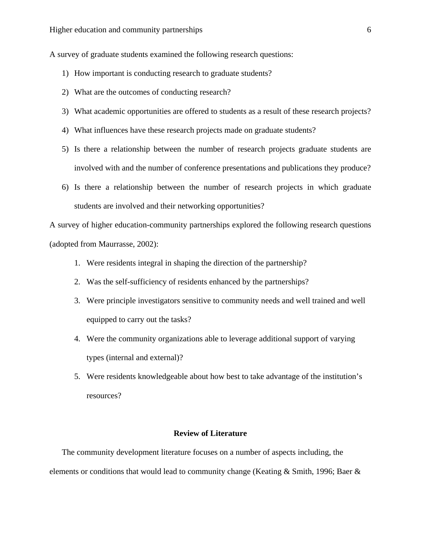A survey of graduate students examined the following research questions:

- 1) How important is conducting research to graduate students?
- 2) What are the outcomes of conducting research?
- 3) What academic opportunities are offered to students as a result of these research projects?
- 4) What influences have these research projects made on graduate students?
- 5) Is there a relationship between the number of research projects graduate students are involved with and the number of conference presentations and publications they produce?
- 6) Is there a relationship between the number of research projects in which graduate students are involved and their networking opportunities?

A survey of higher education-community partnerships explored the following research questions (adopted from Maurrasse, 2002):

- 1. Were residents integral in shaping the direction of the partnership?
- 2. Was the self-sufficiency of residents enhanced by the partnerships?
- 3. Were principle investigators sensitive to community needs and well trained and well equipped to carry out the tasks?
- 4. Were the community organizations able to leverage additional support of varying types (internal and external)?
- 5. Were residents knowledgeable about how best to take advantage of the institution's resources?

#### **Review of Literature**

The community development literature focuses on a number of aspects including, the elements or conditions that would lead to community change (Keating & Smith, 1996; Baer &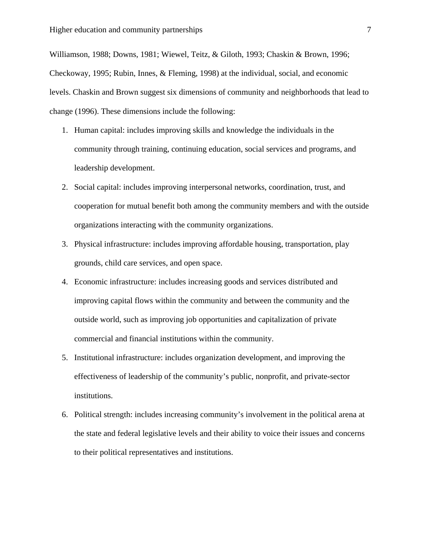Williamson, 1988; Downs, 1981; Wiewel, Teitz, & Giloth, 1993; Chaskin & Brown, 1996; Checkoway, 1995; Rubin, Innes, & Fleming, 1998) at the individual, social, and economic levels. Chaskin and Brown suggest six dimensions of community and neighborhoods that lead to change (1996). These dimensions include the following:

- 1. Human capital: includes improving skills and knowledge the individuals in the community through training, continuing education, social services and programs, and leadership development.
- 2. Social capital: includes improving interpersonal networks, coordination, trust, and cooperation for mutual benefit both among the community members and with the outside organizations interacting with the community organizations.
- 3. Physical infrastructure: includes improving affordable housing, transportation, play grounds, child care services, and open space.
- 4. Economic infrastructure: includes increasing goods and services distributed and improving capital flows within the community and between the community and the outside world, such as improving job opportunities and capitalization of private commercial and financial institutions within the community.
- 5. Institutional infrastructure: includes organization development, and improving the effectiveness of leadership of the community's public, nonprofit, and private-sector institutions.
- 6. Political strength: includes increasing community's involvement in the political arena at the state and federal legislative levels and their ability to voice their issues and concerns to their political representatives and institutions.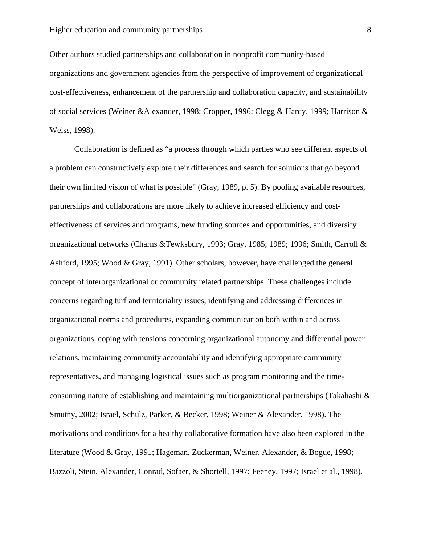Other authors studied partnerships and collaboration in nonprofit community-based organizations and government agencies from the perspective of improvement of organizational cost-effectiveness, enhancement of the partnership and collaboration capacity, and sustainability of social services (Weiner &Alexander, 1998; Cropper, 1996; Clegg & Hardy, 1999; Harrison & Weiss, 1998).

Collaboration is defined as "a process through which parties who see different aspects of a problem can constructively explore their differences and search for solutions that go beyond their own limited vision of what is possible" (Gray, 1989, p. 5). By pooling available resources, partnerships and collaborations are more likely to achieve increased efficiency and costeffectiveness of services and programs, new funding sources and opportunities, and diversify organizational networks (Charns &Tewksbury, 1993; Gray, 1985; 1989; 1996; Smith, Carroll & Ashford, 1995; Wood & Gray, 1991). Other scholars, however, have challenged the general concept of interorganizational or community related partnerships. These challenges include concerns regarding turf and territoriality issues, identifying and addressing differences in organizational norms and procedures, expanding communication both within and across organizations, coping with tensions concerning organizational autonomy and differential power relations, maintaining community accountability and identifying appropriate community representatives, and managing logistical issues such as program monitoring and the timeconsuming nature of establishing and maintaining multiorganizational partnerships (Takahashi & Smutny, 2002; Israel, Schulz, Parker, & Becker, 1998; Weiner & Alexander, 1998). The motivations and conditions for a healthy collaborative formation have also been explored in the literature (Wood & Gray, 1991; Hageman, Zuckerman, Weiner, Alexander, & Bogue, 1998; Bazzoli, Stein, Alexander, Conrad, Sofaer, & Shortell, 1997; Feeney, 1997; Israel et al., 1998).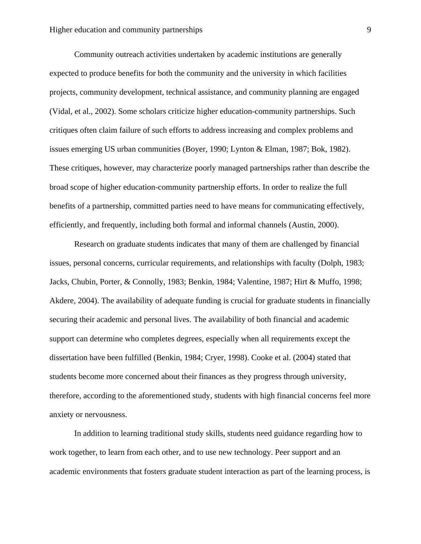Community outreach activities undertaken by academic institutions are generally expected to produce benefits for both the community and the university in which facilities projects, community development, technical assistance, and community planning are engaged (Vidal, et al., 2002). Some scholars criticize higher education-community partnerships. Such critiques often claim failure of such efforts to address increasing and complex problems and issues emerging US urban communities (Boyer, 1990; Lynton & Elman, 1987; Bok, 1982). These critiques, however, may characterize poorly managed partnerships rather than describe the broad scope of higher education-community partnership efforts. In order to realize the full benefits of a partnership, committed parties need to have means for communicating effectively, efficiently, and frequently, including both formal and informal channels (Austin, 2000).

Research on graduate students indicates that many of them are challenged by financial issues, personal concerns, curricular requirements, and relationships with faculty (Dolph, 1983; Jacks, Chubin, Porter, & Connolly, 1983; Benkin, 1984; Valentine, 1987; Hirt & Muffo, 1998; Akdere, 2004). The availability of adequate funding is crucial for graduate students in financially securing their academic and personal lives. The availability of both financial and academic support can determine who completes degrees, especially when all requirements except the dissertation have been fulfilled (Benkin, 1984; Cryer, 1998). Cooke et al. (2004) stated that students become more concerned about their finances as they progress through university, therefore, according to the aforementioned study, students with high financial concerns feel more anxiety or nervousness.

In addition to learning traditional study skills, students need guidance regarding how to work together, to learn from each other, and to use new technology. Peer support and an academic environments that fosters graduate student interaction as part of the learning process, is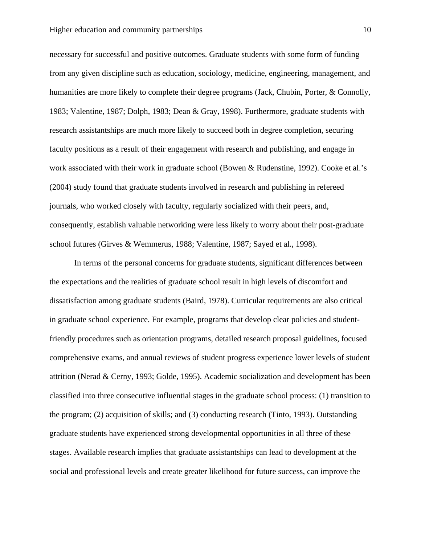#### Higher education and community partnerships 10

necessary for successful and positive outcomes. Graduate students with some form of funding from any given discipline such as education, sociology, medicine, engineering, management, and humanities are more likely to complete their degree programs (Jack, Chubin, Porter, & Connolly, 1983; Valentine, 1987; Dolph, 1983; Dean & Gray, 1998). Furthermore, graduate students with research assistantships are much more likely to succeed both in degree completion, securing faculty positions as a result of their engagement with research and publishing, and engage in work associated with their work in graduate school (Bowen & Rudenstine, 1992). Cooke et al.'s (2004) study found that graduate students involved in research and publishing in refereed journals, who worked closely with faculty, regularly socialized with their peers, and, consequently, establish valuable networking were less likely to worry about their post-graduate school futures (Girves & Wemmerus, 1988; Valentine, 1987; Sayed et al., 1998).

In terms of the personal concerns for graduate students, significant differences between the expectations and the realities of graduate school result in high levels of discomfort and dissatisfaction among graduate students (Baird, 1978). Curricular requirements are also critical in graduate school experience. For example, programs that develop clear policies and studentfriendly procedures such as orientation programs, detailed research proposal guidelines, focused comprehensive exams, and annual reviews of student progress experience lower levels of student attrition (Nerad & Cerny, 1993; Golde, 1995). Academic socialization and development has been classified into three consecutive influential stages in the graduate school process: (1) transition to the program; (2) acquisition of skills; and (3) conducting research (Tinto, 1993). Outstanding graduate students have experienced strong developmental opportunities in all three of these stages. Available research implies that graduate assistantships can lead to development at the social and professional levels and create greater likelihood for future success, can improve the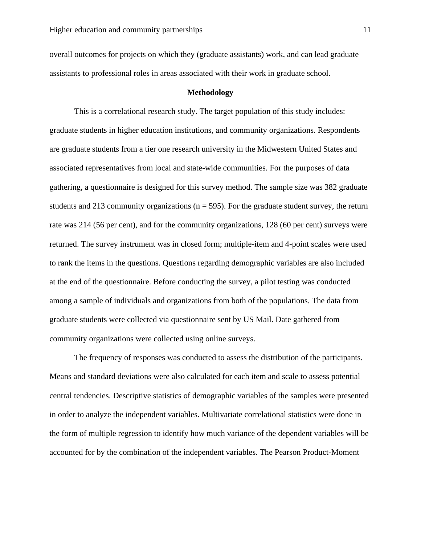overall outcomes for projects on which they (graduate assistants) work, and can lead graduate assistants to professional roles in areas associated with their work in graduate school.

#### **Methodology**

This is a correlational research study. The target population of this study includes: graduate students in higher education institutions, and community organizations. Respondents are graduate students from a tier one research university in the Midwestern United States and associated representatives from local and state-wide communities. For the purposes of data gathering, a questionnaire is designed for this survey method. The sample size was 382 graduate students and 213 community organizations ( $n = 595$ ). For the graduate student survey, the return rate was 214 (56 per cent), and for the community organizations, 128 (60 per cent) surveys were returned. The survey instrument was in closed form; multiple-item and 4-point scales were used to rank the items in the questions. Questions regarding demographic variables are also included at the end of the questionnaire. Before conducting the survey, a pilot testing was conducted among a sample of individuals and organizations from both of the populations. The data from graduate students were collected via questionnaire sent by US Mail. Date gathered from community organizations were collected using online surveys.

 The frequency of responses was conducted to assess the distribution of the participants. Means and standard deviations were also calculated for each item and scale to assess potential central tendencies. Descriptive statistics of demographic variables of the samples were presented in order to analyze the independent variables. Multivariate correlational statistics were done in the form of multiple regression to identify how much variance of the dependent variables will be accounted for by the combination of the independent variables. The Pearson Product-Moment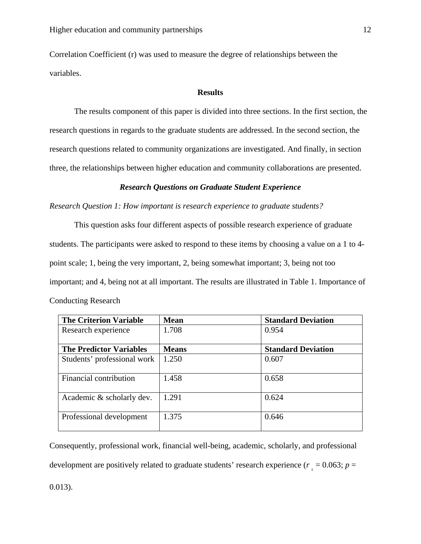Correlation Coefficient (r) was used to measure the degree of relationships between the variables.

#### **Results**

 The results component of this paper is divided into three sections. In the first section, the research questions in regards to the graduate students are addressed. In the second section, the research questions related to community organizations are investigated. And finally, in section three, the relationships between higher education and community collaborations are presented.

#### *Research Questions on Graduate Student Experience*

*Research Question 1: How important is research experience to graduate students?* 

This question asks four different aspects of possible research experience of graduate students. The participants were asked to respond to these items by choosing a value on a 1 to 4 point scale; 1, being the very important, 2, being somewhat important; 3, being not too important; and 4, being not at all important. The results are illustrated in Table 1. Importance of Conducting Research

| <b>The Criterion Variable</b>  | <b>Mean</b>  | <b>Standard Deviation</b> |
|--------------------------------|--------------|---------------------------|
| Research experience            | 1.708        | 0.954                     |
| <b>The Predictor Variables</b> | <b>Means</b> | <b>Standard Deviation</b> |
|                                |              |                           |
| Students' professional work    | 1.250        | 0.607                     |
|                                |              |                           |
| Financial contribution         | 1.458        | 0.658                     |
|                                |              |                           |
| Academic & scholarly dev.      | 1.291        | 0.624                     |
|                                |              |                           |
| Professional development       | 1.375        | 0.646                     |
|                                |              |                           |
|                                |              |                           |

Consequently, professional work, financial well-being, academic, scholarly, and professional development are positively related to graduate students' research experience ( $r_s = 0.063$ ;  $p =$ 

0.013).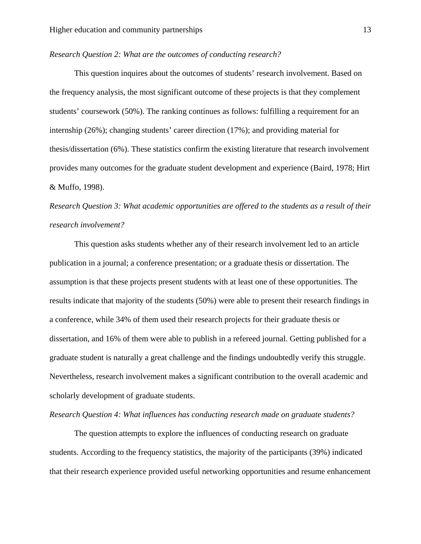#### *Research Question 2: What are the outcomes of conducting research?*

This question inquires about the outcomes of students' research involvement. Based on the frequency analysis, the most significant outcome of these projects is that they complement students' coursework (50%). The ranking continues as follows: fulfilling a requirement for an internship (26%); changing students' career direction (17%); and providing material for thesis/dissertation (6%). These statistics confirm the existing literature that research involvement provides many outcomes for the graduate student development and experience (Baird, 1978; Hirt & Muffo, 1998).

*Research Question 3: What academic opportunities are offered to the students as a result of their research involvement?* 

This question asks students whether any of their research involvement led to an article publication in a journal; a conference presentation; or a graduate thesis or dissertation. The assumption is that these projects present students with at least one of these opportunities. The results indicate that majority of the students (50%) were able to present their research findings in a conference, while 34% of them used their research projects for their graduate thesis or dissertation, and 16% of them were able to publish in a refereed journal. Getting published for a graduate student is naturally a great challenge and the findings undoubtedly verify this struggle. Nevertheless, research involvement makes a significant contribution to the overall academic and scholarly development of graduate students.

#### *Research Question 4: What influences has conducting research made on graduate students?*

The question attempts to explore the influences of conducting research on graduate students. According to the frequency statistics, the majority of the participants (39%) indicated that their research experience provided useful networking opportunities and resume enhancement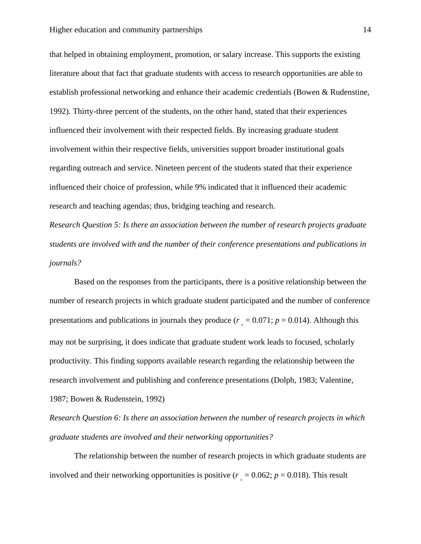that helped in obtaining employment, promotion, or salary increase. This supports the existing literature about that fact that graduate students with access to research opportunities are able to establish professional networking and enhance their academic credentials (Bowen & Rudenstine, 1992). Thirty-three percent of the students, on the other hand, stated that their experiences influenced their involvement with their respected fields. By increasing graduate student involvement within their respective fields, universities support broader institutional goals regarding outreach and service. Nineteen percent of the students stated that their experience influenced their choice of profession, while 9% indicated that it influenced their academic research and teaching agendas; thus, bridging teaching and research.

*Research Question 5: Is there an association between the number of research projects graduate students are involved with and the number of their conference presentations and publications in journals?* 

Based on the responses from the participants, there is a positive relationship between the number of research projects in which graduate student participated and the number of conference presentations and publications in journals they produce ( $r_s = 0.071$ ;  $p = 0.014$ ). Although this may not be surprising, it does indicate that graduate student work leads to focused, scholarly productivity. This finding supports available research regarding the relationship between the research involvement and publishing and conference presentations (Dolph, 1983; Valentine, 1987; Bowen & Rudenstein, 1992)

*Research Question 6: Is there an association between the number of research projects in which graduate students are involved and their networking opportunities?* 

The relationship between the number of research projects in which graduate students are involved and their networking opportunities is positive ( $r<sub>s</sub> = 0.062$ ;  $p = 0.018$ ). This result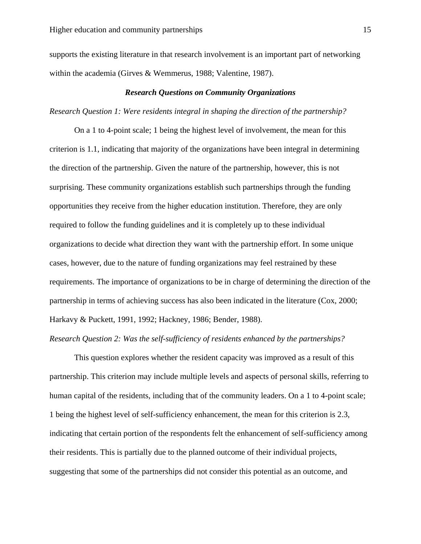supports the existing literature in that research involvement is an important part of networking within the academia (Girves & Wemmerus, 1988; Valentine, 1987).

#### *Research Questions on Community Organizations*

#### *Research Question 1: Were residents integral in shaping the direction of the partnership?*

On a 1 to 4-point scale; 1 being the highest level of involvement, the mean for this criterion is 1.1, indicating that majority of the organizations have been integral in determining the direction of the partnership. Given the nature of the partnership, however, this is not surprising. These community organizations establish such partnerships through the funding opportunities they receive from the higher education institution. Therefore, they are only required to follow the funding guidelines and it is completely up to these individual organizations to decide what direction they want with the partnership effort. In some unique cases, however, due to the nature of funding organizations may feel restrained by these requirements. The importance of organizations to be in charge of determining the direction of the partnership in terms of achieving success has also been indicated in the literature (Cox, 2000; Harkavy & Puckett, 1991, 1992; Hackney, 1986; Bender, 1988).

#### *Research Question 2: Was the self-sufficiency of residents enhanced by the partnerships?*

This question explores whether the resident capacity was improved as a result of this partnership. This criterion may include multiple levels and aspects of personal skills, referring to human capital of the residents, including that of the community leaders. On a 1 to 4-point scale; 1 being the highest level of self-sufficiency enhancement, the mean for this criterion is 2.3, indicating that certain portion of the respondents felt the enhancement of self-sufficiency among their residents. This is partially due to the planned outcome of their individual projects, suggesting that some of the partnerships did not consider this potential as an outcome, and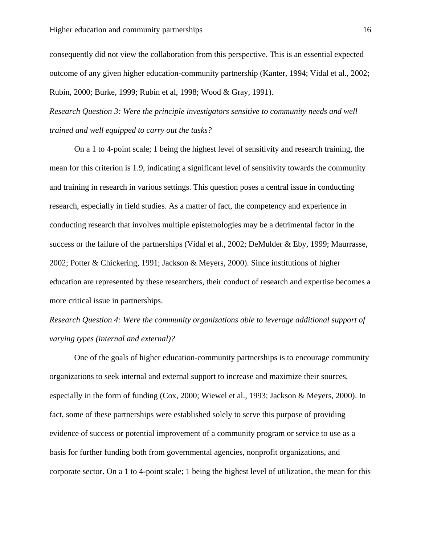consequently did not view the collaboration from this perspective. This is an essential expected outcome of any given higher education-community partnership (Kanter, 1994; Vidal et al., 2002; Rubin, 2000; Burke, 1999; Rubin et al, 1998; Wood & Gray, 1991).

*Research Question 3: Were the principle investigators sensitive to community needs and well trained and well equipped to carry out the tasks?*

On a 1 to 4-point scale; 1 being the highest level of sensitivity and research training, the mean for this criterion is 1.9, indicating a significant level of sensitivity towards the community and training in research in various settings. This question poses a central issue in conducting research, especially in field studies. As a matter of fact, the competency and experience in conducting research that involves multiple epistemologies may be a detrimental factor in the success or the failure of the partnerships (Vidal et al., 2002; DeMulder & Eby, 1999; Maurrasse, 2002; Potter & Chickering, 1991; Jackson & Meyers, 2000). Since institutions of higher education are represented by these researchers, their conduct of research and expertise becomes a more critical issue in partnerships.

*Research Question 4: Were the community organizations able to leverage additional support of varying types (internal and external)?* 

One of the goals of higher education-community partnerships is to encourage community organizations to seek internal and external support to increase and maximize their sources, especially in the form of funding (Cox, 2000; Wiewel et al., 1993; Jackson & Meyers, 2000). In fact, some of these partnerships were established solely to serve this purpose of providing evidence of success or potential improvement of a community program or service to use as a basis for further funding both from governmental agencies, nonprofit organizations, and corporate sector. On a 1 to 4-point scale; 1 being the highest level of utilization, the mean for this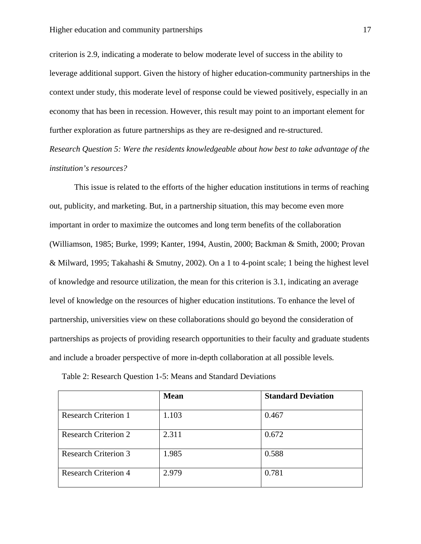criterion is 2.9, indicating a moderate to below moderate level of success in the ability to leverage additional support. Given the history of higher education-community partnerships in the context under study, this moderate level of response could be viewed positively, especially in an economy that has been in recession. However, this result may point to an important element for further exploration as future partnerships as they are re-designed and re-structured.

*Research Question 5: Were the residents knowledgeable about how best to take advantage of the institution's resources?* 

This issue is related to the efforts of the higher education institutions in terms of reaching out, publicity, and marketing. But, in a partnership situation, this may become even more important in order to maximize the outcomes and long term benefits of the collaboration (Williamson, 1985; Burke, 1999; Kanter, 1994, Austin, 2000; Backman & Smith, 2000; Provan & Milward, 1995; Takahashi & Smutny, 2002). On a 1 to 4-point scale; 1 being the highest level of knowledge and resource utilization, the mean for this criterion is 3.1, indicating an average level of knowledge on the resources of higher education institutions. To enhance the level of partnership, universities view on these collaborations should go beyond the consideration of partnerships as projects of providing research opportunities to their faculty and graduate students and include a broader perspective of more in-depth collaboration at all possible levels*.* 

|                             | <b>Mean</b> | <b>Standard Deviation</b> |
|-----------------------------|-------------|---------------------------|
| <b>Research Criterion 1</b> | 1.103       | 0.467                     |
| <b>Research Criterion 2</b> | 2.311       | 0.672                     |
| <b>Research Criterion 3</b> | 1.985       | 0.588                     |
| <b>Research Criterion 4</b> | 2.979       | 0.781                     |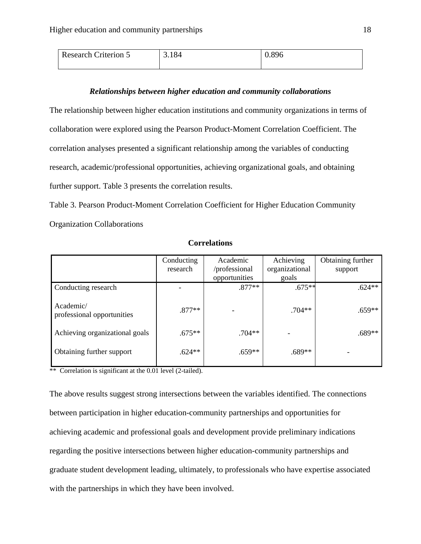| <b>Research Criterion 5</b> | 3.184 | 0.896 |
|-----------------------------|-------|-------|
|                             |       |       |

#### *Relationships between higher education and community collaborations*

The relationship between higher education institutions and community organizations in terms of collaboration were explored using the Pearson Product-Moment Correlation Coefficient. The correlation analyses presented a significant relationship among the variables of conducting research, academic/professional opportunities, achieving organizational goals, and obtaining further support. Table 3 presents the correlation results.

Table 3. Pearson Product-Moment Correlation Coefficient for Higher Education Community Organization Collaborations

|                                         | Conducting<br>research | Academic<br>/professional | Achieving<br>organizational | Obtaining further<br>support |
|-----------------------------------------|------------------------|---------------------------|-----------------------------|------------------------------|
|                                         |                        | opportunities             | goals                       |                              |
| Conducting research                     |                        | $.877**$                  | $.675**$                    | $.624**$                     |
| Academic/<br>professional opportunities | $.877**$               |                           | $.704**$                    | $.659**$                     |
| Achieving organizational goals          | $.675**$               | $.704**$                  |                             | $.689**$                     |
| Obtaining further support               | $.624**$               | $.659**$                  | $.689**$                    |                              |

**Correlations** 

\*\* Correlation is significant at the 0.01 level (2-tailed).

The above results suggest strong intersections between the variables identified. The connections between participation in higher education-community partnerships and opportunities for achieving academic and professional goals and development provide preliminary indications regarding the positive intersections between higher education-community partnerships and graduate student development leading, ultimately, to professionals who have expertise associated with the partnerships in which they have been involved.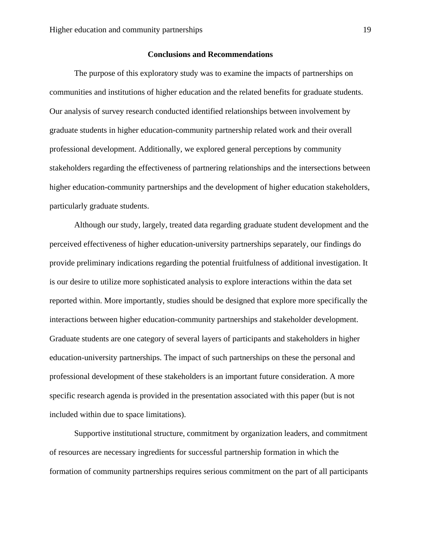#### **Conclusions and Recommendations**

The purpose of this exploratory study was to examine the impacts of partnerships on communities and institutions of higher education and the related benefits for graduate students. Our analysis of survey research conducted identified relationships between involvement by graduate students in higher education-community partnership related work and their overall professional development. Additionally, we explored general perceptions by community stakeholders regarding the effectiveness of partnering relationships and the intersections between higher education-community partnerships and the development of higher education stakeholders, particularly graduate students.

Although our study, largely, treated data regarding graduate student development and the perceived effectiveness of higher education-university partnerships separately, our findings do provide preliminary indications regarding the potential fruitfulness of additional investigation. It is our desire to utilize more sophisticated analysis to explore interactions within the data set reported within. More importantly, studies should be designed that explore more specifically the interactions between higher education-community partnerships and stakeholder development. Graduate students are one category of several layers of participants and stakeholders in higher education-university partnerships. The impact of such partnerships on these the personal and professional development of these stakeholders is an important future consideration. A more specific research agenda is provided in the presentation associated with this paper (but is not included within due to space limitations).

Supportive institutional structure, commitment by organization leaders, and commitment of resources are necessary ingredients for successful partnership formation in which the formation of community partnerships requires serious commitment on the part of all participants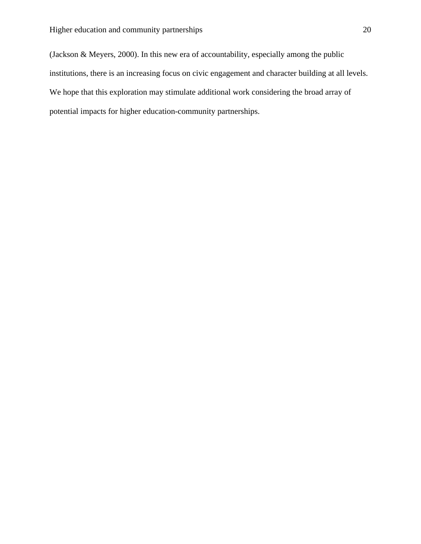(Jackson & Meyers, 2000). In this new era of accountability, especially among the public institutions, there is an increasing focus on civic engagement and character building at all levels. We hope that this exploration may stimulate additional work considering the broad array of potential impacts for higher education-community partnerships.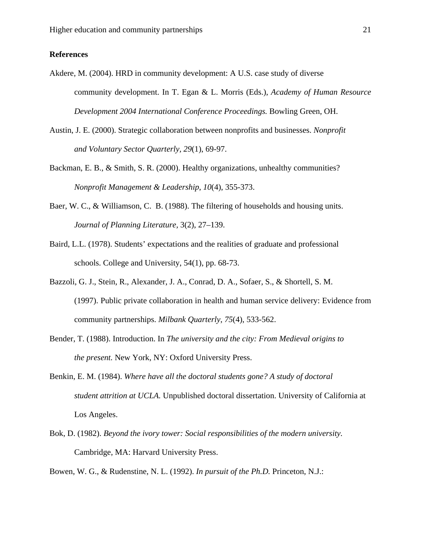## **References**

- Akdere, M. (2004). HRD in community development: A U.S. case study of diverse community development. In T. Egan & L. Morris (Eds.), *Academy of Human Resource Development 2004 International Conference Proceedings.* Bowling Green, OH.
- Austin, J. E. (2000). Strategic collaboration between nonprofits and businesses. *Nonprofit and Voluntary Sector Quarterly, 29*(1), 69-97.
- Backman, E. B., & Smith, S. R. (2000). Healthy organizations, unhealthy communities? *Nonprofit Management & Leadership*, *10*(4), 355-373.
- Baer, W. C., & Williamson, C. B. (1988). The filtering of households and housing units. *Journal of Planning Literature,* 3(2), 27–139.
- Baird, L.L. (1978). Students' expectations and the realities of graduate and professional schools. College and University, 54(1), pp. 68-73.
- Bazzoli, G. J., Stein, R., Alexander, J. A., Conrad, D. A., Sofaer, S., & Shortell, S. M. (1997). Public private collaboration in health and human service delivery: Evidence from community partnerships. *Milbank Quarterly*, *75*(4), 533-562.
- Bender, T. (1988). Introduction. In *The university and the city: From Medieval origins to the present.* New York, NY: Oxford University Press.
- Benkin, E. M. (1984). *Where have all the doctoral students gone? A study of doctoral student attrition at UCLA.* Unpublished doctoral dissertation. University of California at Los Angeles.
- Bok, D. (1982). *Beyond the ivory tower: Social responsibilities of the modern university.*  Cambridge, MA: Harvard University Press.

Bowen, W. G., & Rudenstine, N. L. (1992). *In pursuit of the Ph.D.* Princeton, N.J.: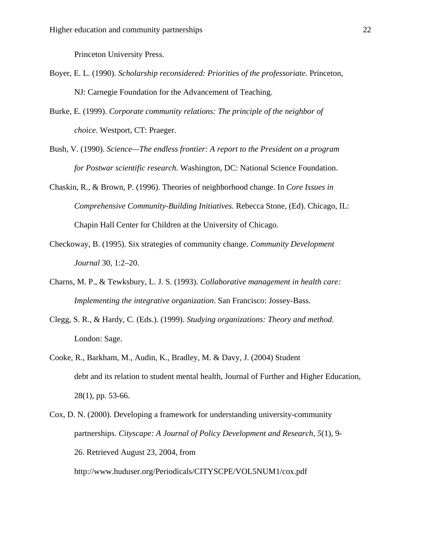Princeton University Press.

- Boyer, E. L. (1990). *Scholarship reconsidered: Priorities of the professoriate.* Princeton, NJ: Carnegie Foundation for the Advancement of Teaching.
- Burke, E. (1999). *Corporate community relations: The principle of the neighbor of choice*. Westport, CT: Praeger.
- Bush, V. (1990). *Science—The endless frontier: A report to the President on a program for Postwar scientific research.* Washington, DC: National Science Foundation.
- Chaskin, R., & Brown, P. (1996). Theories of neighborhood change. In *Core Issues in Comprehensive Community-Building Initiatives*. Rebecca Stone, (Ed). Chicago, IL: Chapin Hall Center for Children at the University of Chicago.
- Checkoway, B. (1995). Six strategies of community change. *Community Development Journal* 30, 1:2–20.
- Charns, M. P., & Tewksbury, L. J. S. (1993). *Collaborative management in health care: Implementing the integrative organization*. San Francisco: Jossey-Bass.
- Clegg, S. R., & Hardy, C. (Eds.). (1999). *Studying organizations: Theory and method*. London: Sage.
- Cooke, R., Barkham, M., Audin, K., Bradley, M. & Davy, J. (2004) Student debt and its relation to student mental health, Journal of Further and Higher Education, 28(1), pp. 53-66.
- Cox, D. N. (2000). Developing a framework for understanding university-community partnerships. *Cityscape: A Journal of Policy Development and Research, 5*(1), 9- 26. Retrieved August 23, 2004, from http://www.huduser.org/Periodicals/CITYSCPE/VOL5NUM1/cox.pdf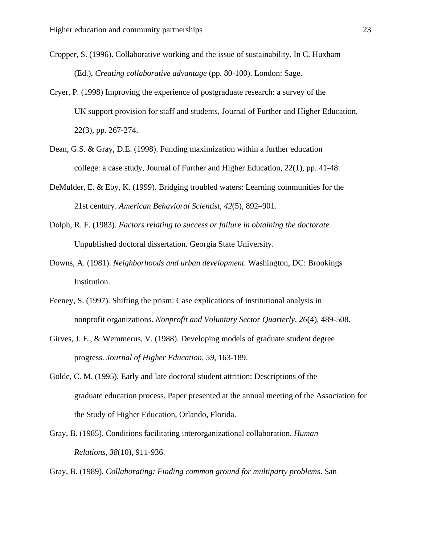- Cropper, S. (1996). Collaborative working and the issue of sustainability. In C. Huxham (Ed.), *Creating collaborative advantage* (pp. 80-100). London: Sage.
- Cryer, P. (1998) Improving the experience of postgraduate research: a survey of the UK support provision for staff and students, Journal of Further and Higher Education, 22(3), pp. 267-274.
- Dean, G.S. & Gray, D.E. (1998). Funding maximization within a further education college: a case study, Journal of Further and Higher Education, 22(1), pp. 41-48.
- DeMulder, E. & Eby, K. (1999). Bridging troubled waters: Learning communities for the 21st century. *American Behavioral Scientist, 42*(5), 892–901.
- Dolph, R. F. (1983). *Factors relating to success or failure in obtaining the doctorate.* Unpublished doctoral dissertation. Georgia State University.
- Downs, A. (1981). *Neighborhoods and urban development.* Washington, DC: Brookings Institution.
- Feeney, S. (1997). Shifting the prism: Case explications of institutional analysis in nonprofit organizations. *Nonprofit and Voluntary Sector Quarterly*, *26*(4), 489-508.
- Girves, J. E., & Wemmerus, V. (1988). Developing models of graduate student degree progress. *Journal of Higher Education, 59,* 163-189.
- Golde, C. M. (1995). Early and late doctoral student attrition: Descriptions of the graduate education process. Paper presented at the annual meeting of the Association for the Study of Higher Education, Orlando, Florida.
- Gray, B. (1985). Conditions facilitating interorganizational collaboration. *Human Relations*, *38*(10), 911-936.

Gray, B. (1989). *Collaborating: Finding common ground for multiparty problems*. San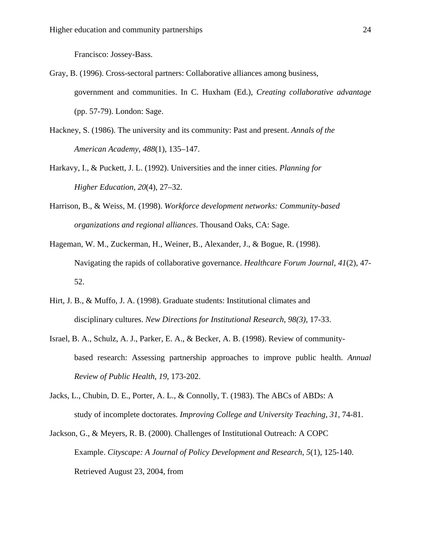Francisco: Jossey-Bass.

- Gray, B. (1996). Cross-sectoral partners: Collaborative alliances among business, government and communities. In C. Huxham (Ed.), *Creating collaborative advantage*  (pp. 57-79). London: Sage.
- Hackney, S. (1986). The university and its community: Past and present. *Annals of the American Academy, 488*(1), 135–147.
- Harkavy, I., & Puckett, J. L. (1992). Universities and the inner cities. *Planning for Higher Education, 20*(4), 27–32.
- Harrison, B., & Weiss, M. (1998). *Workforce development networks: Community-based organizations and regional alliances*. Thousand Oaks, CA: Sage.
- Hageman, W. M., Zuckerman, H., Weiner, B., Alexander, J., & Bogue, R. (1998). Navigating the rapids of collaborative governance. *Healthcare Forum Journal*, *41*(2), 47- 52.
- Hirt, J. B., & Muffo, J. A. (1998). Graduate students: Institutional climates and disciplinary cultures. *New Directions for Institutional Research, 98(3),* 17-33.
- Israel, B. A., Schulz, A. J., Parker, E. A., & Becker, A. B. (1998). Review of communitybased research: Assessing partnership approaches to improve public health. *Annual Review of Public Health*, *19*, 173-202.
- Jacks, L., Chubin, D. E., Porter, A. L., & Connolly, T. (1983). The ABCs of ABDs: A study of incomplete doctorates. *Improving College and University Teaching, 31,* 74-81.
- Jackson, G., & Meyers, R. B. (2000). Challenges of Institutional Outreach: A COPC Example. *Cityscape: A Journal of Policy Development and Research, 5*(1), 125-140. Retrieved August 23, 2004, from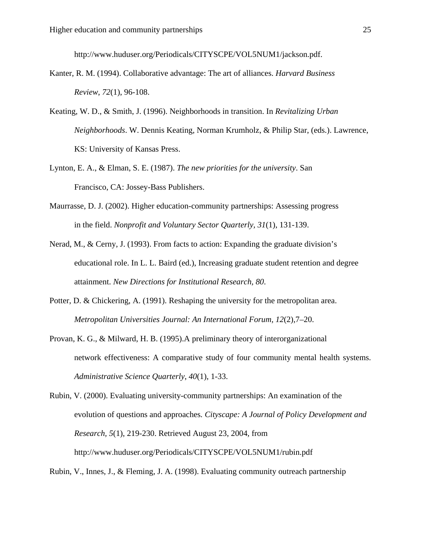http://www.huduser.org/Periodicals/CITYSCPE/VOL5NUM1/jackson.pdf.

- Kanter, R. M. (1994). Collaborative advantage: The art of alliances. *Harvard Business Review*, *72*(1), 96-108.
- Keating, W. D., & Smith, J. (1996). Neighborhoods in transition. In *Revitalizing Urban Neighborhoods*. W. Dennis Keating, Norman Krumholz, & Philip Star, (eds.). Lawrence, KS: University of Kansas Press.
- Lynton, E. A., & Elman, S. E. (1987). *The new priorities for the university*. San Francisco, CA: Jossey-Bass Publishers.
- Maurrasse, D. J. (2002). Higher education-community partnerships: Assessing progress in the field. *Nonprofit and Voluntary Sector Quarterly, 31*(1), 131-139.
- Nerad, M., & Cerny, J. (1993). From facts to action: Expanding the graduate division's educational role. In L. L. Baird (ed.), Increasing graduate student retention and degree attainment. *New Directions for Institutional Research, 80*.
- Potter, D. & Chickering, A. (1991). Reshaping the university for the metropolitan area. *Metropolitan Universities Journal: An International Forum, 12*(2),7–20.
- Provan, K. G., & Milward, H. B. (1995).A preliminary theory of interorganizational network effectiveness: A comparative study of four community mental health systems. *Administrative Science Quarterly*, *40*(1), 1-33.
- Rubin, V. (2000). Evaluating university-community partnerships: An examination of the evolution of questions and approaches*. Cityscape: A Journal of Policy Development and Research, 5*(1), 219-230. Retrieved August 23, 2004, from http://www.huduser.org/Periodicals/CITYSCPE/VOL5NUM1/rubin.pdf

Rubin, V., Innes, J., & Fleming, J. A. (1998). Evaluating community outreach partnership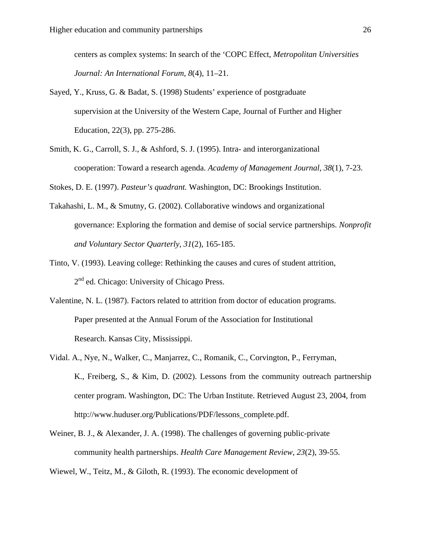centers as complex systems: In search of the 'COPC Effect, *Metropolitan Universities Journal: An International Forum, 8*(4), 11–21.

- Sayed, Y., Kruss, G. & Badat, S. (1998) Students' experience of postgraduate supervision at the University of the Western Cape, Journal of Further and Higher Education, 22(3), pp. 275-286.
- Smith, K. G., Carroll, S. J., & Ashford, S. J. (1995). Intra- and interorganizational cooperation: Toward a research agenda. *Academy of Management Journal*, *38*(1), 7-23.

Stokes, D. E. (1997). *Pasteur's quadrant.* Washington, DC: Brookings Institution.

- Takahashi, L. M., & Smutny, G. (2002). Collaborative windows and organizational governance: Exploring the formation and demise of social service partnerships. *Nonprofit and Voluntary Sector Quarterly, 31*(2), 165-185.
- Tinto, V. (1993). Leaving college: Rethinking the causes and cures of student attrition,  $2<sup>nd</sup>$ ed. Chicago: University of Chicago Press.
- Valentine, N. L. (1987). Factors related to attrition from doctor of education programs. Paper presented at the Annual Forum of the Association for Institutional Research. Kansas City, Mississippi.
- Vidal. A., Nye, N., Walker, C., Manjarrez, C., Romanik, C., Corvington, P., Ferryman, K., Freiberg, S., & Kim, D. (2002). Lessons from the community outreach partnership center program. Washington, DC: The Urban Institute. Retrieved August 23, 2004, from http://www.huduser.org/Publications/PDF/lessons\_complete.pdf.
- Weiner, B. J., & Alexander, J. A. (1998). The challenges of governing public-private community health partnerships. *Health Care Management Review*, *23*(2), 39-55.

Wiewel, W., Teitz, M., & Giloth, R. (1993). The economic development of